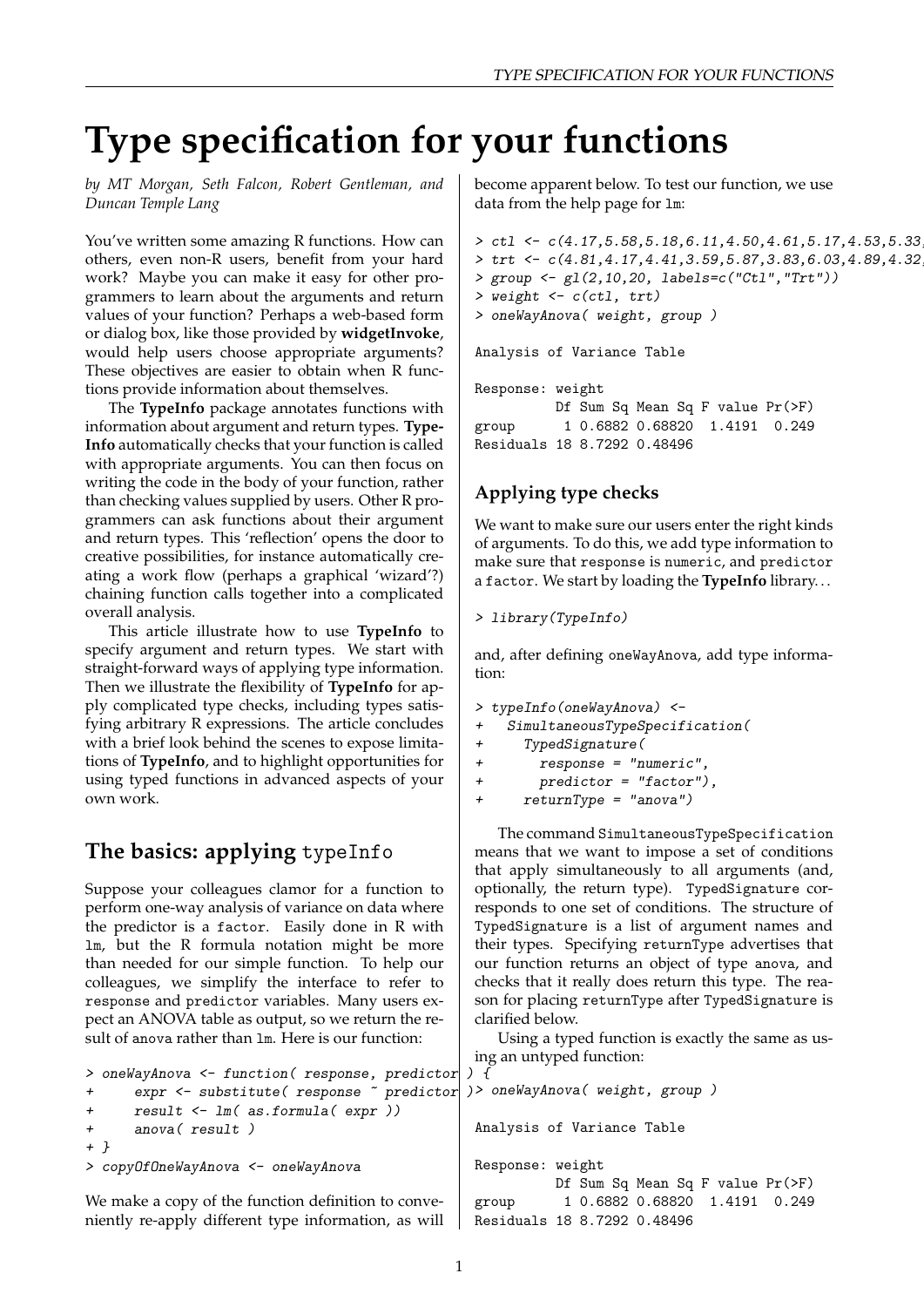# **Type specification for your functions**

*by MT Morgan, Seth Falcon, Robert Gentleman, and Duncan Temple Lang*

You've written some amazing R functions. How can others, even non-R users, benefit from your hard work? Maybe you can make it easy for other programmers to learn about the arguments and return values of your function? Perhaps a web-based form or dialog box, like those provided by **widgetInvoke**, would help users choose appropriate arguments? These objectives are easier to obtain when R functions provide information about themselves.

The **TypeInfo** package annotates functions with information about argument and return types. **Type-Info** automatically checks that your function is called with appropriate arguments. You can then focus on writing the code in the body of your function, rather than checking values supplied by users. Other R programmers can ask functions about their argument and return types. This 'reflection' opens the door to creative possibilities, for instance automatically creating a work flow (perhaps a graphical 'wizard'?) chaining function calls together into a complicated overall analysis.

This article illustrate how to use **TypeInfo** to specify argument and return types. We start with straight-forward ways of applying type information. Then we illustrate the flexibility of **TypeInfo** for apply complicated type checks, including types satisfying arbitrary R expressions. The article concludes with a brief look behind the scenes to expose limitations of **TypeInfo**, and to highlight opportunities for using typed functions in advanced aspects of your own work.

### **The basics: applying** typeInfo

Suppose your colleagues clamor for a function to perform one-way analysis of variance on data where the predictor is a factor. Easily done in R with lm, but the R formula notation might be more than needed for our simple function. To help our colleagues, we simplify the interface to refer to response and predictor variables. Many users expect an ANOVA table as output, so we return the result of anova rather than lm. Here is our function:

become apparent below. To test our function, we use data from the help page for lm:

```
> ctl \leftarrow c(4.17,5.58,5.18,6.11,4.50,4.61,5.17,4.53,5.33
> trt <- c(4.81, 4.17, 4.41, 3.59, 5.87, 3.83, 6.03, 4.89, 4.32
> group <- gl(2,10,20, labels=c("Ctl","Trt"))
> weight <- c(ctl, trt)
> oneWayAnova( weight, group )
Analysis of Variance Table
Response: weight
          Df Sum Sq Mean Sq F value Pr(>F)
```
group 1 0.6882 0.68820 1.4191 0.249 Residuals 18 8.7292 0.48496

#### **Applying type checks**

We want to make sure our users enter the right kinds of arguments. To do this, we add type information to make sure that response is numeric, and predictor a factor. We start by loading the **TypeInfo** library. . .

```
> library(TypeInfo)
```
and, after defining oneWayAnova, add type information:

```
> typeInfo(oneWayAnova) <-
```
- + SimultaneousTypeSpecification(
- + TypedSignature(
- + response = "numeric",
- + predictor = "factor"),

```
+ returnType = "anova")
```
The command SimultaneousTypeSpecification means that we want to impose a set of conditions that apply simultaneously to all arguments (and, optionally, the return type). TypedSignature corresponds to one set of conditions. The structure of TypedSignature is a list of argument names and their types. Specifying returnType advertises that our function returns an object of type anova, and checks that it really does return this type. The reason for placing returnType after TypedSignature is clarified below.

Using a typed function is exactly the same as using an untyped function:

```
> oneWayAnova <- function( response, predictor ) {
+ expr <- substitute( response \tilde{ } predictor
+ result <- lm( as.formula( expr ))
+ anova( result )
+ }
> copyOfOneWayAnova <- oneWayAnova
We make a copy of the function definition to conve-
niently re-apply different type information, as will
                                                > oneWayAnova( weight, group )
                                                 Analysis of Variance Table
                                                 Response: weight
                                                           Df Sum Sq Mean Sq F value Pr(>F)
                                                 group 1 0.6882 0.68820 1.4191 0.249
                                                 Residuals 18 8.7292 0.48496
```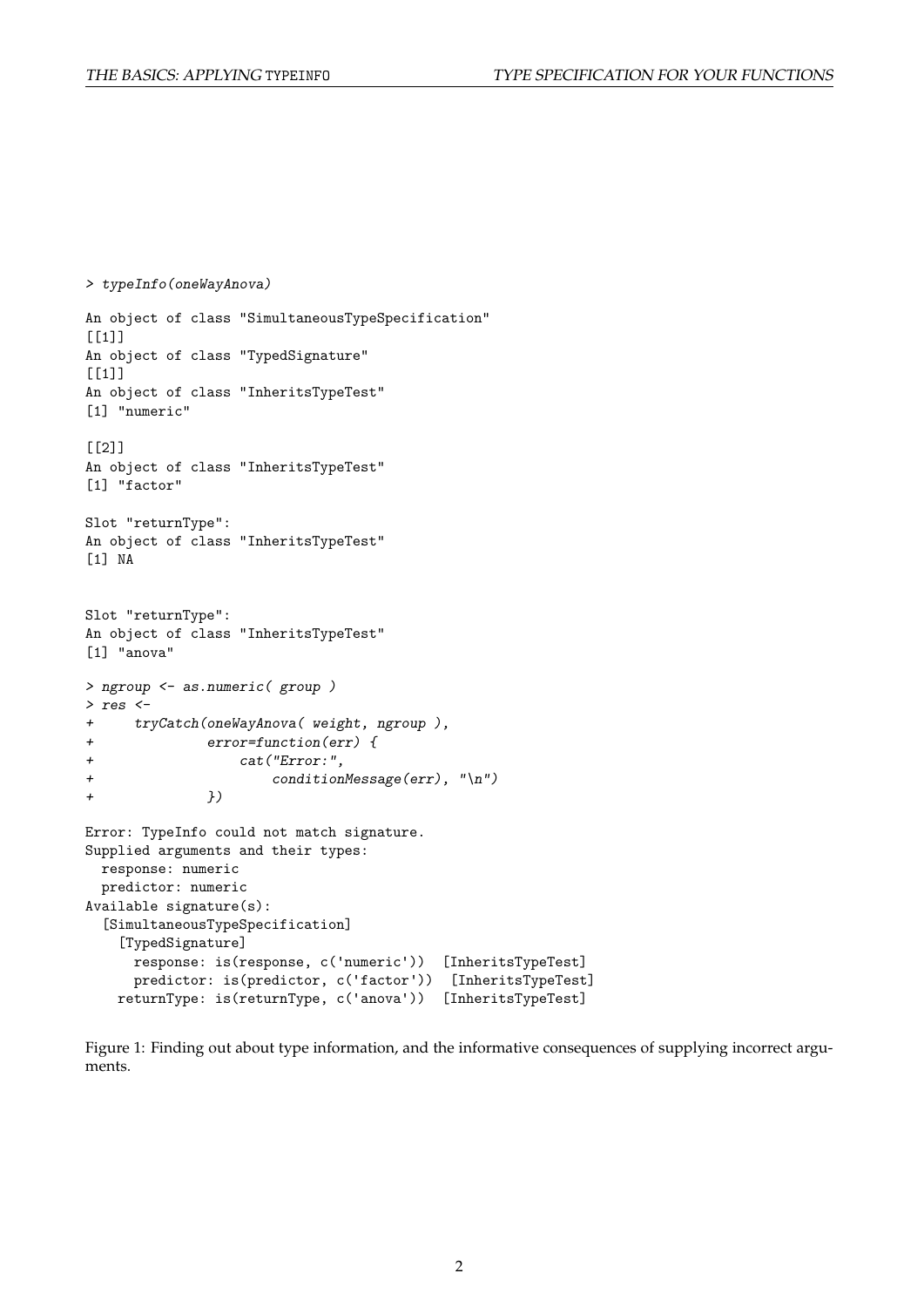> typeInfo(oneWayAnova)

```
An object of class "SimultaneousTypeSpecification"
[[1]]
An object of class "TypedSignature"
[[1]]
An object of class "InheritsTypeTest"
[1] "numeric"
[[2]]
An object of class "InheritsTypeTest"
[1] "factor"
Slot "returnType":
An object of class "InheritsTypeTest"
[1] NA
Slot "returnType":
An object of class "InheritsTypeTest"
[1] "anova"
> ngroup <- as.numeric( group )
> res <-+ tryCatch(oneWayAnova( weight, ngroup ),
+ error=function(err) {
+ cat("Error:",
+ conditionMessage(err), "\n")
+ })
Error: TypeInfo could not match signature.
Supplied arguments and their types:
 response: numeric
 predictor: numeric
Available signature(s):
  [SimultaneousTypeSpecification]
   [TypedSignature]
     response: is(response, c('numeric')) [InheritsTypeTest]
     predictor: is(predictor, c('factor')) [InheritsTypeTest]
   returnType: is(returnType, c('anova')) [InheritsTypeTest]
```
<span id="page-1-0"></span>Figure 1: Finding out about type information, and the informative consequences of supplying incorrect arguments.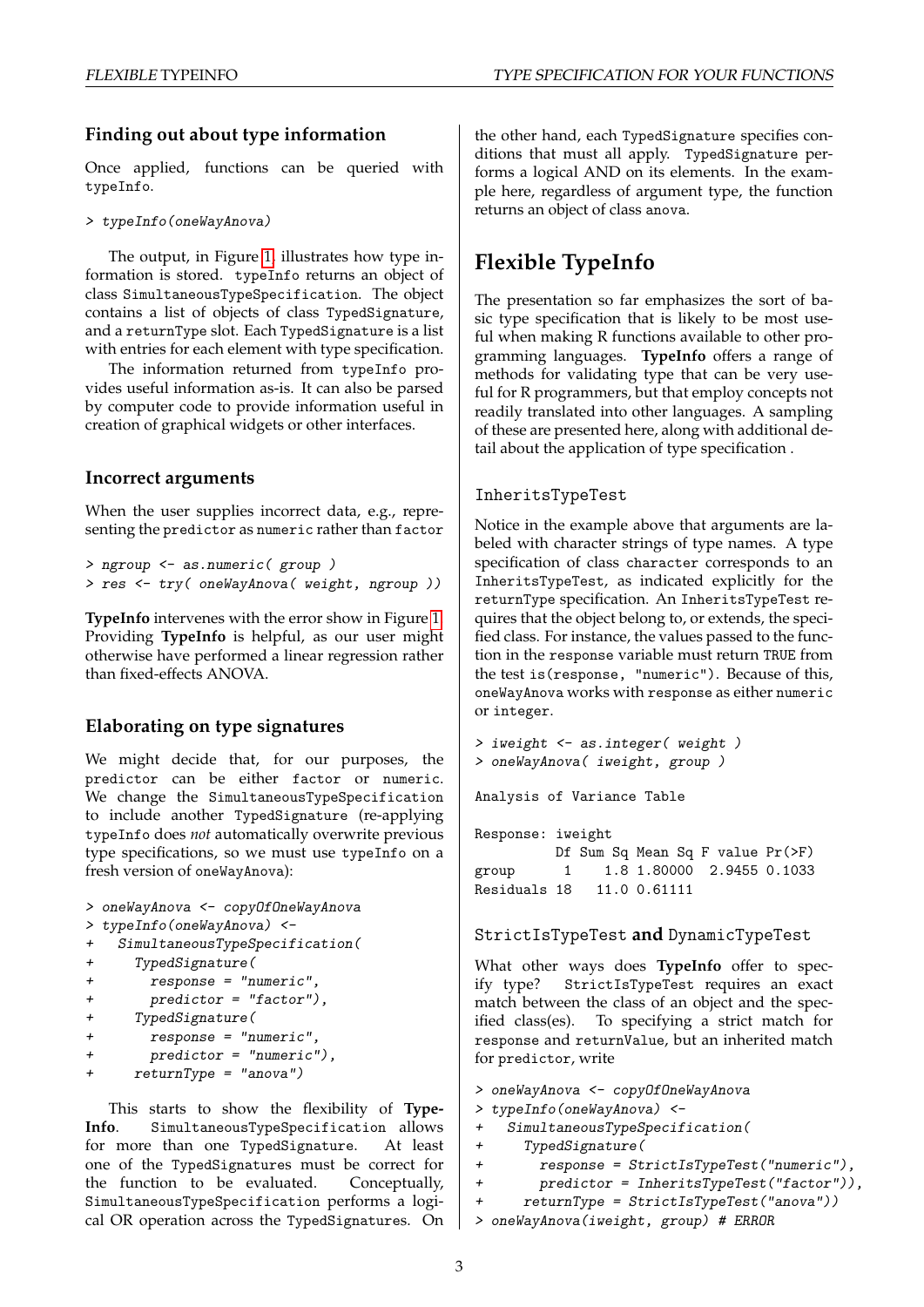#### **Finding out about type information**

Once applied, functions can be queried with typeInfo.

> typeInfo(oneWayAnova)

The output, in Figure [1,](#page-1-0) illustrates how type information is stored. typeInfo returns an object of class SimultaneousTypeSpecification. The object contains a list of objects of class TypedSignature, and a returnType slot. Each TypedSignature is a list with entries for each element with type specification.

The information returned from typeInfo provides useful information as-is. It can also be parsed by computer code to provide information useful in creation of graphical widgets or other interfaces.

#### **Incorrect arguments**

When the user supplies incorrect data, e.g., representing the predictor as numeric rather than factor

```
> ngroup <- as.numeric( group )
> res <- try( oneWayAnova( weight, ngroup ))
```
**TypeInfo** intervenes with the error show in Figure [1.](#page-1-0) Providing **TypeInfo** is helpful, as our user might otherwise have performed a linear regression rather than fixed-effects ANOVA.

#### **Elaborating on type signatures**

We might decide that, for our purposes, the predictor can be either factor or numeric. We change the SimultaneousTypeSpecification to include another TypedSignature (re-applying typeInfo does *not* automatically overwrite previous type specifications, so we must use typeInfo on a fresh version of oneWayAnova):

```
> oneWayAnova <- copyOfOneWayAnova
```

```
> typeInfo(oneWayAnova) <-
```

```
+ SimultaneousTypeSpecification(
```

```
+ TypedSignature(
```

```
+ response = "numeric",
+ predictor = "factor"),
```

```
+ TypedSignature(
```

```
+ response = "numeric",
```

```
+ predictor = "numeric"),
```

```
returnType = "anova")
```
This starts to show the flexibility of **Type-Info**. SimultaneousTypeSpecification allows for more than one TypedSignature. At least one of the TypedSignatures must be correct for the function to be evaluated. Conceptually, SimultaneousTypeSpecification performs a logical OR operation across the TypedSignatures. On the other hand, each TypedSignature specifies conditions that must all apply. TypedSignature performs a logical AND on its elements. In the example here, regardless of argument type, the function returns an object of class anova.

# **Flexible TypeInfo**

The presentation so far emphasizes the sort of basic type specification that is likely to be most useful when making R functions available to other programming languages. **TypeInfo** offers a range of methods for validating type that can be very useful for R programmers, but that employ concepts not readily translated into other languages. A sampling of these are presented here, along with additional detail about the application of type specification .

#### InheritsTypeTest

Notice in the example above that arguments are labeled with character strings of type names. A type specification of class character corresponds to an InheritsTypeTest, as indicated explicitly for the returnType specification. An InheritsTypeTest requires that the object belong to, or extends, the specified class. For instance, the values passed to the function in the response variable must return TRUE from the test is(response, "numeric"). Because of this, oneWayAnova works with response as either numeric or integer.

```
> iweight <- as.integer( weight )
> oneWayAnova( iweight, group )
```
Analysis of Variance Table

Response: iweight Df Sum Sq Mean Sq F value Pr(>F) group 1 1.8 1.80000 2.9455 0.1033 Residuals 18 11.0 0.61111

#### StrictIsTypeTest **and** DynamicTypeTest

What other ways does **TypeInfo** offer to specify type? StrictIsTypeTest requires an exact match between the class of an object and the specified class(es). To specifying a strict match for response and returnValue, but an inherited match for predictor, write

- > oneWayAnova <- copyOfOneWayAnova
- > typeInfo(oneWayAnova) <-
- SimultaneousTypeSpecification(
- + TypedSignature(
- + response = StrictIsTypeTest("numeric"),
- + predictor = InheritsTypeTest("factor")),
- + returnType = StrictIsTypeTest("anova"))
- > oneWayAnova(iweight, group) # ERROR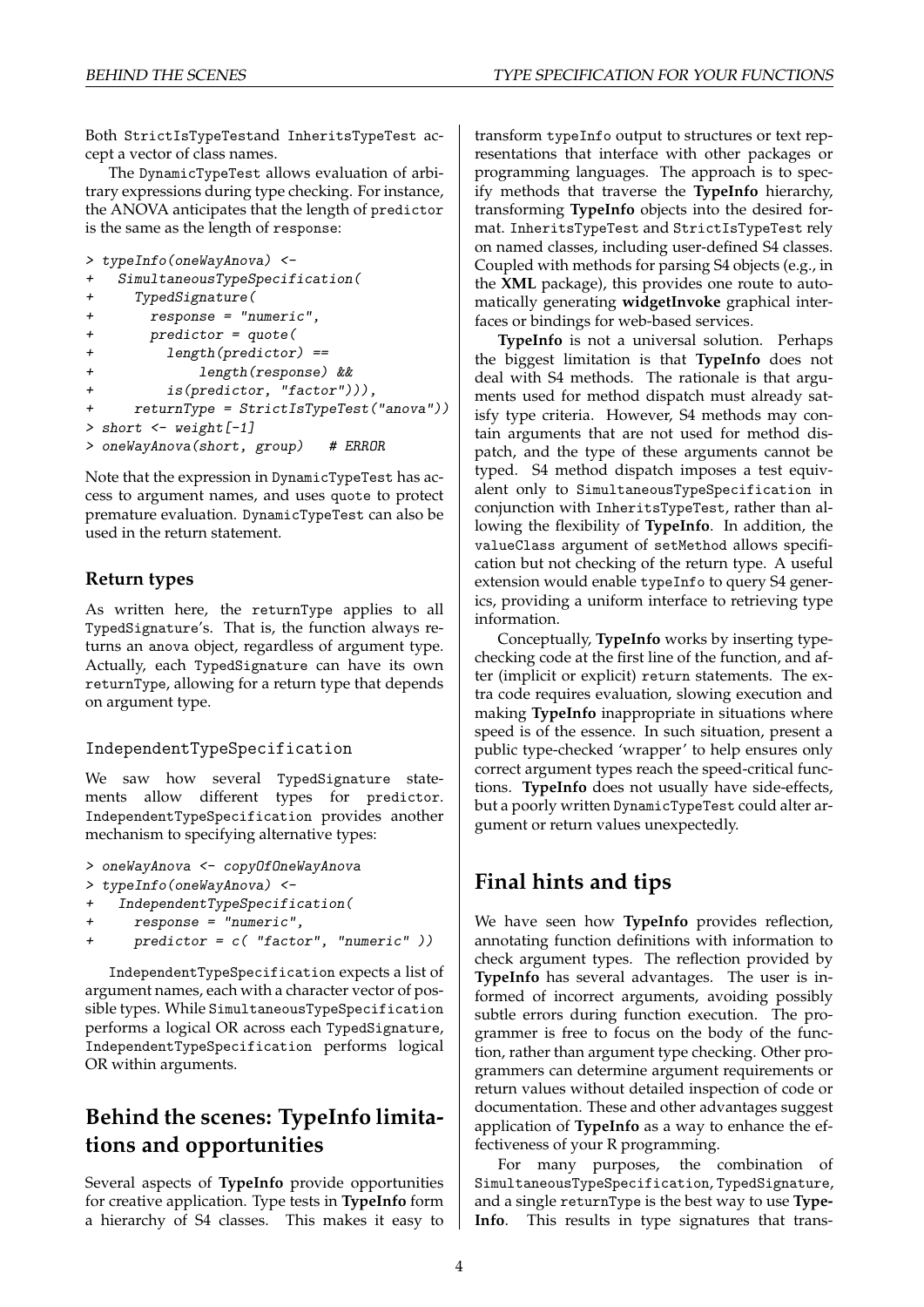Both StrictIsTypeTestand InheritsTypeTest accept a vector of class names.

The DynamicTypeTest allows evaluation of arbitrary expressions during type checking. For instance, the ANOVA anticipates that the length of predictor is the same as the length of response:

```
> typeInfo(oneWayAnova) <-
```

```
+ SimultaneousTypeSpecification(
+ TypedSignature(
+ response = "numeric",
+ predictor = quote(
+ length(predictor) ==
+ length(response) &&
+ is(predictor, "factor"))),
+ returnType = StrictIsTypeTest("anova"))
> short \leq weight [-1]> oneWayAnova(short, group) # ERROR
```
Note that the expression in DynamicTypeTest has access to argument names, and uses quote to protect premature evaluation. DynamicTypeTest can also be used in the return statement.

#### **Return types**

As written here, the returnType applies to all TypedSignature's. That is, the function always returns an anova object, regardless of argument type. Actually, each TypedSignature can have its own returnType, allowing for a return type that depends on argument type.

#### IndependentTypeSpecification

We saw how several TypedSignature statements allow different types for predictor. IndependentTypeSpecification provides another mechanism to specifying alternative types:

```
> oneWayAnova <- copyOfOneWayAnova
```

```
> typeInfo(oneWayAnova) <-
```

```
IndependentTypeSpecification(
```

```
response = "numeric",
```

```
predictor = c('factor", "numeric")
```
IndependentTypeSpecification expects a list of argument names, each with a character vector of possible types. While SimultaneousTypeSpecification performs a logical OR across each TypedSignature, IndependentTypeSpecification performs logical OR within arguments.

## **Behind the scenes: TypeInfo limitations and opportunities**

Several aspects of **TypeInfo** provide opportunities for creative application. Type tests in **TypeInfo** form a hierarchy of S4 classes. This makes it easy to transform typeInfo output to structures or text representations that interface with other packages or programming languages. The approach is to specify methods that traverse the **TypeInfo** hierarchy, transforming **TypeInfo** objects into the desired format. InheritsTypeTest and StrictIsTypeTest rely on named classes, including user-defined S4 classes. Coupled with methods for parsing S4 objects (e.g., in the **XML** package), this provides one route to automatically generating **widgetInvoke** graphical interfaces or bindings for web-based services.

**TypeInfo** is not a universal solution. Perhaps the biggest limitation is that **TypeInfo** does not deal with S4 methods. The rationale is that arguments used for method dispatch must already satisfy type criteria. However, S4 methods may contain arguments that are not used for method dispatch, and the type of these arguments cannot be typed. S4 method dispatch imposes a test equivalent only to SimultaneousTypeSpecification in conjunction with InheritsTypeTest, rather than allowing the flexibility of **TypeInfo**. In addition, the valueClass argument of setMethod allows specification but not checking of the return type. A useful extension would enable typeInfo to query S4 generics, providing a uniform interface to retrieving type information.

Conceptually, **TypeInfo** works by inserting typechecking code at the first line of the function, and after (implicit or explicit) return statements. The extra code requires evaluation, slowing execution and making **TypeInfo** inappropriate in situations where speed is of the essence. In such situation, present a public type-checked 'wrapper' to help ensures only correct argument types reach the speed-critical functions. **TypeInfo** does not usually have side-effects, but a poorly written DynamicTypeTest could alter argument or return values unexpectedly.

### **Final hints and tips**

We have seen how **TypeInfo** provides reflection, annotating function definitions with information to check argument types. The reflection provided by **TypeInfo** has several advantages. The user is informed of incorrect arguments, avoiding possibly subtle errors during function execution. The programmer is free to focus on the body of the function, rather than argument type checking. Other programmers can determine argument requirements or return values without detailed inspection of code or documentation. These and other advantages suggest application of **TypeInfo** as a way to enhance the effectiveness of your R programming.

For many purposes, the combination of SimultaneousTypeSpecification, TypedSignature, and a single returnType is the best way to use **Type-Info**. This results in type signatures that trans